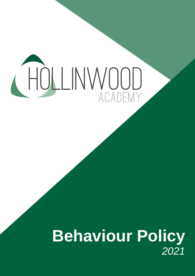# CHOLLINWOOD

# **Behaviour Policy** *2021*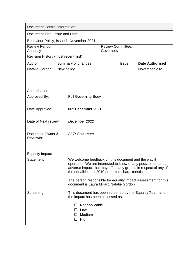| <b>Document Control Information</b>      |                                                                                                                                                                                                                                                                                                                |                             |                                                |                                       |                     |                                                          |  |  |
|------------------------------------------|----------------------------------------------------------------------------------------------------------------------------------------------------------------------------------------------------------------------------------------------------------------------------------------------------------------|-----------------------------|------------------------------------------------|---------------------------------------|---------------------|----------------------------------------------------------|--|--|
| Document Title, Issue and Date           |                                                                                                                                                                                                                                                                                                                |                             |                                                |                                       |                     |                                                          |  |  |
| Behaviour Policy, Issue 1, November 2021 |                                                                                                                                                                                                                                                                                                                |                             |                                                |                                       |                     |                                                          |  |  |
| <b>Review Period:</b><br>Annually        |                                                                                                                                                                                                                                                                                                                |                             |                                                | <b>Review Committee:</b><br>Governors |                     |                                                          |  |  |
| Revision History (most recent first)     |                                                                                                                                                                                                                                                                                                                |                             |                                                |                                       |                     |                                                          |  |  |
| Author                                   |                                                                                                                                                                                                                                                                                                                |                             | Summary of changes                             |                                       | <i><b>Issue</b></i> | <b>Date Authorised</b>                                   |  |  |
| Natalie Gordon                           | New policy                                                                                                                                                                                                                                                                                                     |                             |                                                |                                       | 1                   | November 2021                                            |  |  |
| Authorisation                            |                                                                                                                                                                                                                                                                                                                |                             |                                                |                                       |                     |                                                          |  |  |
| Approved By:                             |                                                                                                                                                                                                                                                                                                                |                             | <b>Full Governing Body</b>                     |                                       |                     |                                                          |  |  |
| Date Approved:                           | 06th December 2021                                                                                                                                                                                                                                                                                             |                             |                                                |                                       |                     |                                                          |  |  |
| Date of Next review:                     |                                                                                                                                                                                                                                                                                                                | December 2022               |                                                |                                       |                     |                                                          |  |  |
| Document Owner &<br>Reviewer:            |                                                                                                                                                                                                                                                                                                                | <b>SLT/Governors</b>        |                                                |                                       |                     |                                                          |  |  |
| <b>Equality Impact</b>                   |                                                                                                                                                                                                                                                                                                                |                             |                                                |                                       |                     |                                                          |  |  |
| <b>Statement</b>                         | We welcome feedback on this document and the way it<br>operates. We are interested to know of any possible or actual<br>adverse impact that may affect any groups in respect of any of<br>the equalities act 2010 protected characteristics.<br>The person responsible for equality impact assessment for this |                             |                                                |                                       |                     |                                                          |  |  |
| document is Laura Millard/Natalie Gordon |                                                                                                                                                                                                                                                                                                                |                             |                                                |                                       |                     |                                                          |  |  |
| Screening                                |                                                                                                                                                                                                                                                                                                                |                             | the impact has been assessed as:               |                                       |                     | This document has been screened by the Equality Team and |  |  |
|                                          |                                                                                                                                                                                                                                                                                                                | ப<br>$\mathsf{L}$<br>$\Box$ | Not applicable<br>Low<br>Medium<br>$\Box$ High |                                       |                     |                                                          |  |  |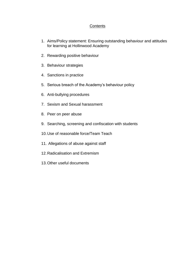### **Contents**

- 1. Aims/Policy statement: Ensuring outstanding behaviour and attitudes for learning at Hollinwood Academy
- 2. Rewarding positive behaviour
- 3. Behaviour strategies
- 4. Sanctions in practice
- 5. Serious breach of the Academy's behaviour policy
- 6. Anti-bullying procedures
- 7. Sexism and Sexual harassment
- 8. Peer on peer abuse
- 9. Searching, screening and confiscation with students
- 10.Use of reasonable force/Team Teach
- 11. Allegations of abuse against staff
- 12.Radicalisation and Extremism
- 13.Other useful documents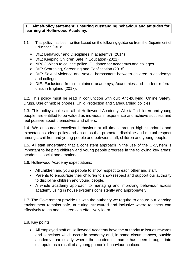#### **1. Aims/Policy statement: Ensuring outstanding behaviour and attitudes for learning at Hollinwood Academy.**

- 1.1. This policy has been written based on the following guidance from the Department of Education (DfE):
	- $\triangleright$  DfE: Behaviour and Disciplines in academys (2014)
	- ➢ DfE: Keeping Children Safe in Education (2021)
	- ➢ NPCC When to call the police. Guidance for academys and colleges
	- ➢ DfE: Searching, Screening and Confiscation (2018)
	- ➢ DfE: Sexual violence and sexual harassment between children in academys and colleges
	- ➢ DfE: Exclusions from maintained academys, Academies and student referral units in England (2017).

1.2. This policy must be read in conjunction with our: Anti-bullying, Online Safety, Drugs, Use of mobile phones, Child Protection and Safeguarding policies.

1.3. This policy applies to all at Hollinwood Academy. All staff, children and young people, are entitled to be valued as individuals, experience and achieve success and feel positive about themselves and others.

1.4. We encourage excellent behaviour at all times through high standards and expectations, clear policy and an ethos that promotes discipline and mutual respect amongst children and young people and between staff, children and young people.

1.5. All staff understand that a consistent approach in the use of the C-System is important to helping children and young people progress in the following key areas: academic, social and emotional.

1.6. Hollinwood Academy expectations:

- All children and young people to show respect to each other and staff.
- Parents to encourage their children to show respect and support our authority to discipline children and young people.
- A whole academy approach to managing and improving behaviour across academy using in house systems consistently and appropriately.

1.7. The Government provide us with the authority we require to ensure our learning environment remains safe, nurturing, structured and inclusive where teachers can effectively teach and children can effectively learn.

1.8. Key points:

• All employed staff at Hollinwood Academy have the authority to issues rewards and sanctions which occur in academy and, in some circumstances, outside academy, particularly where the academies name has been brought into disrepute as a result of a young person's behaviour choices.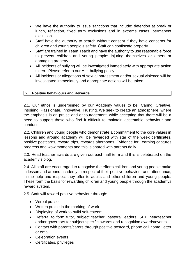- We have the authority to issue sanctions that include: detention at break or lunch, reflection, fixed term exclusions and in extreme cases, permanent exclusion.
- Staff have the authority to search without consent if they have concerns for children and young people's safety. Staff can confiscate property.
- Staff are trained in Team Teach and have the authority to use reasonable force to prevent children and young people: injuring themselves or others or damaging property.
- All incidents of bullying will be investigated immediately with appropriate action taken. Please refer to our Anti-bullying policy.
- All incidents or allegations of sexual harassment and/or sexual violence will be investigated immediately and appropriate actions will be taken.

# **2. Positive behaviours and Rewards**

2.1. Our ethos is underpinned by our Academy values to be: Caring, Creative, Inspiring, Passionate, Innovative, Trusting. We seek to create an atmosphere, where the emphasis is on praise and encouragement, while accepting that there will be a need to support those who find it difficult to maintain acceptable behaviour and conduct.

2.2. Children and young people who demonstrate a commitment to the core values in lessons and around academy will be rewarded with star of the week certificates, positive postcards, reward trips, rewards afternoons. Evidence for Learning captures progress and wow moments and this is shared with parents daily.

2.3. Head teacher awards are given out each half term and this is celebrated on the academy's blog.

2.4. All staff are encouraged to recognise the efforts children and young people make in lesson and around academy in respect of their positive behaviour and attendance, in the help and respect they offer to adults and other children and young people. These form the basis for rewarding children and young people through the academys reward system.

2.5. Staff will reward positive behaviour through:

- Verbal praise
- Written praise in the marking of work
- Displaying of work to build self-esteem
- Referral to form tutor, subject teacher, pastoral leaders, SLT, headteacher and/or governors for subject specific awards and recognition awards/events.
- Contact with parents/carers through positive postcard, phone call home, letter or email.
- Celebration events
- Certificates, privileges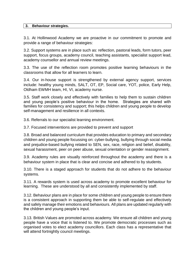#### **3. Behaviour strategies.**

3.1. At Hollinwood Academy we are proactive in our commitment to promote and provide a range of behaviour strategies:

3.2. Support systems are in place such as: reflection, pastoral leads, form tutors, peer support, focus groups, academy council, teaching assistants, specialist support lead, academy counsellor and annual review meetings.

3.3. The use of the reflection room promotes positive learning behaviours in the classrooms that allow for all learners to learn.

3.4. Our in-house support is strengthened by external agency support, services include: healthy young minds, SALT, OT, EP, Social care, YOT, police, Early Help, Oldham EWMH team, HI, VI, academy nurse.

3.5. Staff work closely and effectively with families to help them to sustain children and young people's positive behaviour in the home. Strategies are shared with families for consistency and support; this helps children and young people to develop self-management and resilience in all contexts.

3.6. Referrals to our specialist learning environment.

3.7. Focused interventions are provided to prevent and support

3.8. Broad and balanced curriculum that provides education to primary and secondary children and young people focussing on: cyber-bullying, bullying through social media and prejudice-based bullying related to SEN, sex, race, religion and belief, disability, sexual harassment, peer on peer abuse, sexual orientation or gender reassignment.

3.9. Academy rules are visually reinforced throughout the academy and there is a behaviour system in place that is clear and concise and adhered to by students.

3.10. There is a staged approach for students that do not adhere to the behaviour systems.

3.11. A rewards system is used across academy to promote excellent behaviour for learning. These are understood by all and consistently implemented by staff.

3.12. Behaviour plans are in place for some children and young people to ensure there is a consistent approach in supporting them be able to self-regulate and effectively and safely manage their emotions and behaviours. All plans are updated regularly with the children and young people's input.

3.13. British Values are promoted across academy. We ensure all children and young people have a voice that is listened to. We promote democratic processes such as organised votes to elect academy councillors. Each class has a representative that will attend fortnightly council meetings.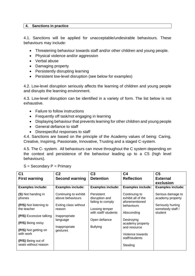#### **4. Sanctions in practice**

4.1. Sanctions will be applied for unacceptable/undesirable behaviours. These behaviours may include:

- Threatening behaviour towards staff and/or other children and young people.
- Physical violence and/or aggression
- Verbal abuse
- Damaging property
- Persistently disrupting learning
- Persistent low-level disruption (see below for examples)

4.2. Low-level disruption seriously affects the learning of children and young people and disrupts the learning environment.

4.3. Low-level disruption can be identified in a variety of form. The list below is not exhaustive.

- Failure to follow instructions
- Frequently off task/not engaging in learning
- Displaying behaviour that prevents learning for other children and young people
- General defiance to staff
- Disrespectful responses to staff

4.4. Sanctions are based on the principle of the Academy values of being: Caring, Creative, Inspiring, Passionate, Innovative, Trusting and a staged C-system.

4.5. The C- system. All behaviours can move throughout the C system depending on the context and persistence of the behaviour leading up to a C5 (high level behaviours).

| C <sub>1</sub>                                                                                                        | C <sub>2</sub>                                                                                            | C <sub>3</sub>                                                                                               | C <sub>4</sub>                                                                                                      | C <sub>5</sub>                                                                            |  |  |
|-----------------------------------------------------------------------------------------------------------------------|-----------------------------------------------------------------------------------------------------------|--------------------------------------------------------------------------------------------------------------|---------------------------------------------------------------------------------------------------------------------|-------------------------------------------------------------------------------------------|--|--|
| <b>First warning</b>                                                                                                  | <b>Second warning</b>                                                                                     | <b>Detention</b>                                                                                             | <b>Reflection</b>                                                                                                   | <b>External</b>                                                                           |  |  |
|                                                                                                                       |                                                                                                           |                                                                                                              |                                                                                                                     | exclusion                                                                                 |  |  |
| <b>Examples include:</b>                                                                                              | <b>Examples include:</b>                                                                                  | <b>Examples include:</b>                                                                                     | <b>Examples include:</b>                                                                                            | <b>Examples include:</b>                                                                  |  |  |
| (S) Not handing in<br>phones<br>(P/S) Not listening to<br>the teacher<br>(P/S) Excessive talking<br>(P/S) Being noisy | Continuing to exhibit<br>above behaviours<br>Exiting class without<br>reason<br>Inappropriate<br>language | Persistent<br>disruption and<br>failing to comply<br>Loosing temper<br>with staff/ students<br>Open defiance | Continuing to<br>exhibit all of the<br>aforementioned<br>behaviours<br>Absconding<br>Destroying<br>academy property | Serious damage to<br>academy property<br>Seriously hurting<br>somebody staff /<br>student |  |  |
| (P/S) Not getting on<br>with work<br>(P/S) Being out of<br>seats without reason                                       | Inappropriate<br>gestures                                                                                 | <b>Bullying</b>                                                                                              | and resource<br>Violence towards<br>staff/students<br>Stealing                                                      |                                                                                           |  |  |

 $S =$  Secondary  $P =$  Primary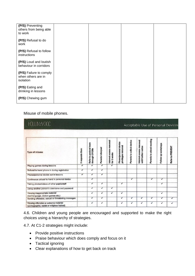| (P/S) Preventing<br>others from being able<br>to work      |  |  |
|------------------------------------------------------------|--|--|
| (P/S) Refusal to do<br>work                                |  |  |
| (P/S) Refusal to follow<br>instructions                    |  |  |
| (P/S) Loud and loutish<br>behaviour in corridors           |  |  |
| (P/S) Failure to comply<br>when others are in<br>isolation |  |  |
| (P/S) Eating and<br>drinking in lessons                    |  |  |
| (P/S) Chewing gum                                          |  |  |

### Misuse of mobile phones.

| <b>HOLLINWOOD</b>                                                                   |                          |                                            |                  |                                           |                                             |                           | Acceptable Use of Personal Devices              |                           |                     |                  |
|-------------------------------------------------------------------------------------|--------------------------|--------------------------------------------|------------------|-------------------------------------------|---------------------------------------------|---------------------------|-------------------------------------------------|---------------------------|---------------------|------------------|
| <b>Type of misuse</b>                                                               | 3 requests then:         | pastoral team<br>through CPOMs<br>Refer to | Parents informed | removed<br>Internet access<br>for 2 weeks | Phone/personal device<br>privileges removed | Parents to collect device | Internet access removed<br>until further notice | Parents to attend meeting | Follow up workshops | Refer to PREVENT |
| Playing games during lessons                                                        | ✓                        | ✓                                          | ✓                | ✓                                         |                                             |                           |                                                 |                           |                     |                  |
| Refusal to hand phone in during registration                                        | $\checkmark$             | ✓                                          | ✓                |                                           |                                             |                           |                                                 |                           |                     |                  |
| Phone/personal device out in lessons                                                | $\overline{\mathcal{I}}$ | ✓                                          | ✓                |                                           |                                             |                           |                                                 |                           |                     |                  |
| Continuous refusal to hand in personal device                                       |                          | ✓                                          |                  |                                           |                                             | ✓                         |                                                 | ✓                         | $\checkmark$        |                  |
| Taking photos/videos of other pupils/staff                                          |                          | ✓                                          | ✓                |                                           | ✓                                           |                           |                                                 |                           | $\checkmark$        |                  |
| Using another person's username and password                                        |                          | ✓                                          | ✓                | $\overline{\checkmark}$                   |                                             |                           |                                                 |                           |                     |                  |
| Viewing inappropriate material<br>(bad language, violent games etc.)                |                          | ✓                                          | $\checkmark$     | $\checkmark$                              | ✓                                           |                           |                                                 |                           | $\checkmark$        |                  |
| Sending offensive, sexual or threatening messages                                   |                          | ✓                                          | ✓                |                                           | ✓                                           | ✓                         | ✓                                               | J                         | ✓                   | ✓                |
| Viewing offensive or extreme material<br>(pornographic, racist or religious hatred) |                          | ✓                                          | ✓                |                                           | ✓                                           | ✔                         | ✓                                               | ✓                         | $\checkmark$        | ✓                |

4.6. Children and young people are encouraged and supported to make the right choices using a hierarchy of strategies.

4.7. At C1-2 strategies might include:

- Provide positive instructions
- Praise behaviour which does comply and focus on it
- Tactical ignoring
- Clear explanations of how to get back on track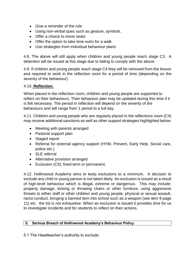- Give a reminder of the rule
- Using non-verbal ques such as gesture, symbols.
- Offer a choice to move seats
- Offer the option to take time out/o for a walk
- Use strategies from individual behaviour plans

4.8. The above will still apply when children and young people reach stage C3. A detention will be issued at this stage due to failing to comply with the above.

4.9. If children and young people reach stage C4 they will be removed from the lesson and required to work in the reflection room for a period of time (depending on the severity of the behaviour)

#### 4.10. **Reflection.**

When placed in the reflection room, children and young people are supported to reflect on their behaviours. Their behaviour plan may be updated during this time if it is felt necessary. The period in reflection will depend on the severity of the behaviours and will range from 1 period to a full day.

4.11. Children and young people who are regularly placed in the reflections room (C4) may receive additional sanctions as well as other support strategies highlighted below:

- Meeting with parents arranged
- Pastoral support plan
- Staged report
- Referral for external agency support (HYM, Prevent, Early Help, Social care, police etc.)
- SLE referral
- Alternative provision arranged
- Exclusion (C5): fixed term or permanent.

4.12. Hollinwood Academy aims to keep exclusions to a minimum. A decision to exclude any child or young person is not taken likely. An exclusion is issued as a result of high-level behaviour which is illegal, extreme or dangerous. This may include: property damage, kicking or throwing chairs or other furniture, using aggressive threats to either staff or other children and young people, physical or sexual assault, racist conduct, bringing a banned item into school such as a weapon (see item 9 page 11) etc. the list is not exhaustive. When an exclusion is issued it provides time for us to investigate incidents and for students to reflect on their actions.

#### **5. Serious Breach of Hollinwood Academy's Behaviour Policy.**

5.1 The Headteacher's authority to exclude.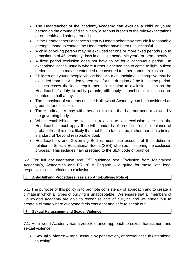- The Headteacher of the academy/Academy can exclude a child or young person on the ground of disciplinary, a serious breach of the rules/expectations or on health and safety grounds.
- In the Headteachers absence a Deputy Headteacher may exclude if reasonable attempts made to contact the Headteacher have been unsuccessful.
- A child or young person may be excluded for one or more fixed periods (up to a maximum of 45 academy days in a single academic year), or permanently.
- A fixed period exclusion does not have to be for a continuous period. In exceptional cases, usually where further evidence has to come to light, a fixed period exclusion may be extended or converted to a permanent exclusion.
- Children and young people whose behaviour at lunchtime is disruptive may be excluded from the Academy premises for the duration of the lunchtime period. In such cases the legal requirements in relation to exclusion, such as the Headteacher's duty to notify parents, still apply. Lunchtime exclusions are counted as half a day.
- The behaviour of students outside Hollinwood Academy can be considered as grounds for exclusion.
- The Headteacher may withdraw an exclusion that has not been reviewed by the governing body.
- When establishing the facts in relation to an exclusion decision the Headteacher must apply the civil standards of proof i.e. 'on the balance of probabilities' it is more likely than not that a fact is true, rather than the criminal standard of 'beyond reasonable doubt'
- Headteachers and Governing Bodies must take account of their duties in relation to Special Educational Needs (SEN) when administering the exclusion process. This includes having regard to the SEN code of practice.

5.2*.* For full documentation and DfE guidance see 'Exclusion from Maintained Academy's, Academies and PRU's' in England – a guide for those with legal responsibilities in relation to exclusion.

# **6. Anti-Bullying Procedures (see also Anti-Bullying Policy)**

6.1. The purpose of this policy is to promote consistency of approach and to create a climate in which all types of bullying is unacceptable. We ensure that all members of Hollinwood Academy are able to recognise acts of bullying and we endeavour to create a climate where everyone feels confident and safe to speak out.

# **7. Sexual Harassment and Sexual Violence**

7.1. Hollinwood Academy has a zero-tolerance approach to sexual harassment and sexual violence.

• **Sexual violence –** rape, assault by penetration**,** or sexual assault (intentional touching)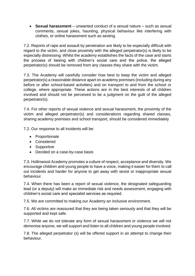• **Sexual harassment** – unwanted conduct of a sexual nature – such as sexual comments, sexual jokes, haunting, physical behaviour like interfering with clothes, or online harassment such as sexting.

7.2. Reports of rape and assault by penetration are likely to be especially difficult with regard to the victim, and close proximity with the alleged perpetrator(s) is likely to be especially distressing. Whilst the academy establishes the facts of the case and starts the process of liaising with children's social care and the police, the alleged perpetrator(s) should be removed from any classes they share with the victim.

7.3. The Academy will carefully consider how best to keep the victim and alleged perpetrator(s) a reasonable distance apart on academy premises (including during any before or after school-based activities) and on transport to and from the school or college, where appropriate. These actions are in the best interests of all children involved and should not be perceived to be a judgment on the guilt of the alleged perpetrator(s).

7.4. For other reports of sexual violence and sexual harassment, the proximity of the victim and alleged perpetrator(s) and considerations regarding shared classes, sharing academy premises and school transport, should be considered immediately

7.2. Our response to all incidents will be:

- Proportionate
- Considered
- Supportive
- Decided on a case-by-case basis

7.3. Hollinwood Academy promotes a culture of respect, acceptance and diversity. We encourage children and young people to have a voice, making it easier for them to call out incidents and harder for anyone to get away with sexist or inappropriate sexual behaviour.

7.4. When there has been a report of sexual violence, the designated safeguarding lead (or a deputy) will make an immediate risk and needs assessment, engaging with children's social care and specialist services as required.

7.5. We are committed to making our Academy an inclusive environment.

7.6. All victims are reassured that they are being taken seriously and that they will be supported and kept safe.

7.7. While we do not tolerate any form of sexual harassment or violence we will not demonise anyone, we will support and listen to all children and young people involved.

7.8. The alleged perpetrator (s) will be offered support in an attempt to change their behaviour.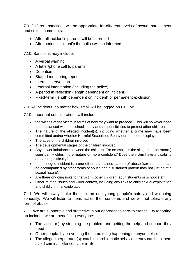7.9. Different sanctions will be appropriate for different levels of sexual harassment and sexual comments.

- After all incident's parents will be informed
- After serious incident's the police will be informed.

7.10. Sanctions may include:

- A verbal warning
- A letter/phone call to parents
- Detention
- Staged monitoring report
- Internal intervention
- External intervention (including the police)
- A period in reflection (length dependent on incident)
- Fixed-term (length dependent on incident) or permanent exclusion

7.9. All incidents, no matter how small will be logged on CPOMS.

7.10. Important considerations will include:

- the wishes of the victim in terms of how they want to proceed. This will however need to be balanced with the school's duty and responsibilities to protect other children
- The nature of the alleged incident(s), including whether a crime may have been committed and/or whether Harmful Sexualised Behaviour has been displayed
- The ages of the children involved
- The developmental stages of the children involved
- Any power imbalance between the children. For example, is the alleged perpetrator(s) significantly older, more mature or more confident? Does the victim have a disability or learning difficulty?
- If the alleged incident is a one-off or a sustained pattern of abuse (sexual abuse can be accompanied by other forms of abuse and a sustained pattern may not just be of a sexual nature);
- Are there ongoing risks to the victim, other children, adult students or school staff
- Other related issues and wider context, including any links to child sexual exploitation and child criminal exploitation.

7.11. We will always take the children and young people's safety and wellbeing seriously. We will listen to them, act on their concerns and we will not tolerate any form of abuse.

7.12. We are supportive and protective in our approach to zero-tolerance. By reporting an incident, we are benefitting everyone:

- The victim (s):by stopping the problem and getting the help and support they need
- Other people: by preventing the same thing happening to anyone else.
- The alleged perpetrator (s): catching problematic behaviour early can help them avoid criminal offences later in life.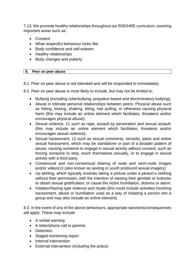7.13. We promote healthy relationships throughout our RSE/HRE curriculum, covering important areas such as:

- Consent
- What respectful behaviour looks like
- Body confidence and self-esteem
- Healthy relationships
- Body changes and puberty

#### **8. Peer on peer abuse**

8.1. Peer on peer abuse is not tolerated and will be responded to immediately.

8.2. Peer on peer abuse is most likely to include, but may not be limited to:

- Bullying (including cyberbullying, prejudice-based and discriminatory bullying);
- Abuse in intimate personal relationships between peers; Physical abuse such as hitting, kicking, shaking, biting, hair pulling, or otherwise causing physical harm (this may include an online element which facilitates, threatens and/or encourages physical abuse);
- Sexual violence, 11 such as rape, assault by penetration and sexual assault; (this may include an online element which facilitates, threatens and/or encourages sexual violence);
- Sexual harassment, 12 such as sexual comments, remarks, jokes and online sexual harassment, which may be standalone or part of a broader pattern of abuse; causing someone to engage in sexual activity without consent, such as forcing someone to strip, touch themselves sexually, or to engage in sexual activity with a third party;
- Consensual and non-consensual sharing of nude and semi-nude images and/or videos13 (also known as sexting or youth produced sexual imagery)
- Up skirting, which typically involves taking a picture under a person's clothing without their permission, with the intention of viewing their genitals or buttocks to obtain sexual gratification, or cause the victim humiliation, distress or alarm.
- Initiation/hazing type violence and rituals (this could include activities involving harassment, abuse or humiliation used as a way of initiating a person into a group and may also include an online element).

8.3. In the event of any of the above behaviours, appropriate sanctions/consequences will apply. These may include:

- A verbal warning
- A letter/phone call to parents
- Detention
- Staged monitoring report
- Internal intervention
- External intervention (including the police)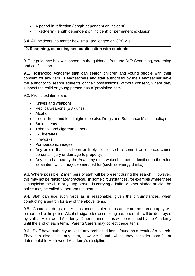- A period in reflection (length dependent on incident)
- Fixed-term (length dependent on incident) or permanent exclusion

8.4. All incidents, no matter how small are logged on CPOM's

# **9. Searching, screening and confiscation with students**

9. The guidance below is based on the guidance from the DfE: Searching, screening and confiscation.

9.1. Hollinwood Academy staff can search children and young people with their consent for any item. Headteachers and staff authorised by the Headteacher have the authority to search students or their possessions, without consent, where they suspect the child or young person has a 'prohibited item'.

9.2. Prohibited items are:

- Knives and weapons
- Replica weapons (BB guns)
- Alcohol
- Illegal drugs and legal highs (see also Drugs and Substance Misuse policy)
- Stolen items
- Tobacco and cigarette papers
- E-Cigerettes
- Fireworks
- Pornographic images
- Any article that has been or likely to be used to commit an offence, cause personal injury or damage to property.
- Any item banned by the Academy rules which has been identified in the rules as an item which may be searched for (such as energy drinks)

9.3. Where possible, 2 members of staff will be present during the search. However, this may not be reasonably practical. In some circumstances, for example where there is suspicion the child or young person is carrying a knife or other bladed article, the police may be called to perform the search.

9.4. Staff can use such force as is reasonable, given the circumstances, when conducting a search for any of the above items.

9.5. Controlled drugs, other substances, stolen items and extreme pornography will be handed to the police. Alcohol, cigarettes or smoking paraphernalia will be destroyed by staff at Hollinwood Academy. Other banned items will be retained by the Academy until the end of each term. Parents/carers may collect these items.

9.6. Staff have authority to seize any prohibited items found as a result of a search. They can also seize any item, however found, which they consider harmful or detrimental to Hollinwood Academy's discipline.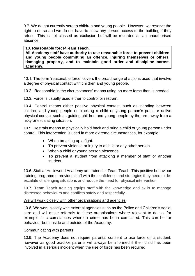9.7. We do not currently screen children and young people. However, we reserve the right to do so and we do not have to allow any person access to the building if they refuse. This is not classed as exclusion but will be recorded as an unauthorised absence.

#### **10. Reasonable force/Team Teach.**

**All Academy staff have authority to use reasonable force to prevent children and young people committing an offence, injuring themselves or others, damaging property, and to maintain good order and discipline across academy.**

10.1. The term 'reasonable force' covers the broad range of actions used that involve a degree of physical contact with children and young people.

10.2. 'Reasonable in the circumstances' means using no more force than is needed

10.3. Force is usually used either to control or restrain.

10.4. Control means either passive physical contact, such as standing between children and young people or blocking a child or young person's path, or active physical contact such as guiding children and young people by the arm away from a risky or escalating situation.

10.5. Restrain means to physically hold back and bring a child or young person under control. This intervention is used in more extreme circumstances, for example:

- When breaking up a fight.
- To prevent violence or injury to a child or any other person.
- When a child or young person absconds.
- To prevent a student from attacking a member of staff or another student.

10.6. Staff at Hollinwood Academy are trained in Team Teach. This positive behaviour training programme provides staff with the confidence and strategies they need to deescalate challenging situations and reduce the need for physical intervention.

10.7. Team Teach training equips staff with the knowledge and skills to manage distressed behaviours and conflicts safely and respectfully.

#### We will work closely with other organisations and agencies

10.8. We work closely with external agencies such as the Police and Children's social care and will make referrals to these organisations where relevant to do so, for example in circumstances where a crime has been committed. This can be for behaviour both inside and outside of the Academy.

#### Communicating with parents

10.9. The Academy does not require parental consent to use force on a student, however as good practice parents will always be informed if their child has been involved in a serious incident when the use of force has been required.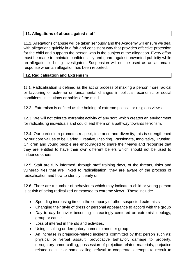# **11. Allegations of abuse against staff**

11.1. Allegations of abuse will be taken seriously and the Academy will ensure we deal with allegations quickly in a fair and consistent way that provides effective protection for the child and supports the person who is the subject of the allegation. Every effort must be made to maintain confidentiality and guard against unwanted publicity while an allegation is being investigated. Suspension will not be used as an automatic response when an allegation has been reported.

# **12. Radicalisation and Extremism**

12.1. Radicalisation is defined as the act or process of making a person more radical or favouring of extreme or fundamental changes in political, economic or social conditions, institutions or habits of the mind.

12.2. Extremism is defined as the holding of extreme political or religious views.

12.3. We will not tolerate extremist activity of any sort, which creates an environment for radicalising individuals and could lead them on a pathway towards terrorism.

12.4. Our curriculum promotes respect, tolerance and diversity, this is strengthened by our core values to be Caring, Creative, Inspiring, Passionate, Innovative, Trusting. Children and young people are encouraged to share their views and recognise that they are entitled to have their own different beliefs which should not be used to influence others.

12.5. Staff are fully informed, through staff training days, of the threats, risks and vulnerabilities that are linked to radicalisation; they are aware of the process of radicalisation and how to identify it early on.

12.6. There are a number of behaviours which may indicate a child or young person is at risk of being radicalized or exposed to extreme views. These include:

- Spending increasing time in the company of other suspected extremists
- Changing their style of dress or personal appearance to accord with the group
- Day to day behavior becoming increasingly centered on extremist ideology, group or cause.
- Loss of interest in friends and activities.
- Using insulting or derogatory names to another group
- An increase in prejudice-related incidents committed by that person such as: physical or verbal assault, provocative behavior, damage to property, derogatory name calling, possession of prejudice related materials, prejudice related ridicule or name calling, refusal to cooperate, attempts to recruit to